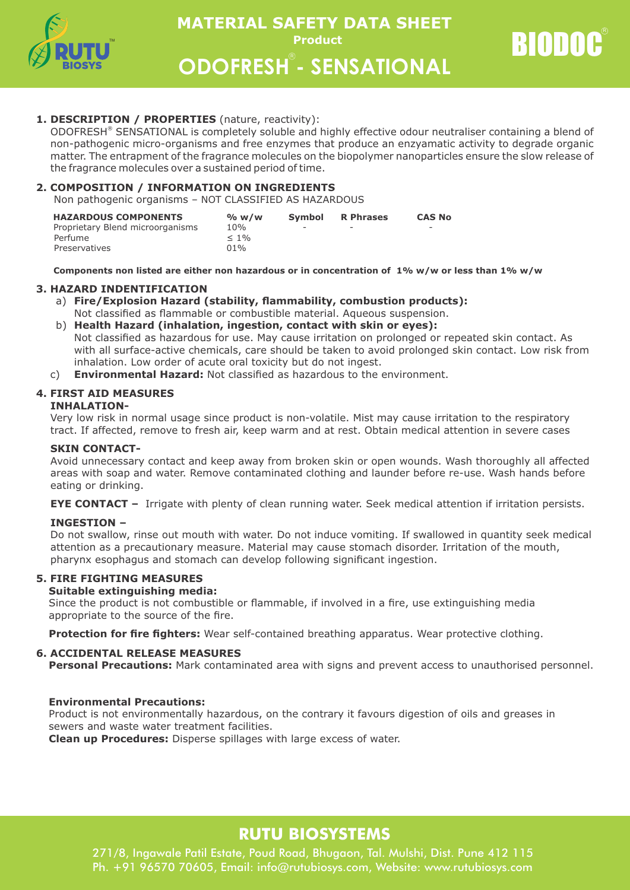

**Product ODOFRESH - SENSATIONAL MATERIAL SAFETY DATA SHEET** 

RIODOC

## **1. DESCRIPTION / PROPERTIES** (nature, reactivity):

ODOFRESH® SENSATIONAL is completely soluble and highly effective odour neutraliser containing a blend of non-pathogenic micro-organisms and free enzymes that produce an enzyamatic activity to degrade organic matter. The entrapment of the fragrance molecules on the biopolymer nanoparticles ensure the slow release of the fragrance molecules over a sustained period of time.

## **2. COMPOSITION / INFORMATION ON INGREDIENTS**

Non pathogenic organisms – NOT CLASSIFIED AS HAZARDOUS

| <b>HAZARDOUS COMPONENTS</b>      | % w/w   | <b>Symbol</b> | <b>R</b> Phrases | <b>CAS No</b> |
|----------------------------------|---------|---------------|------------------|---------------|
| Proprietary Blend microorganisms | 10%     | -             | -                | -             |
| Perfume                          | $< 1\%$ |               |                  |               |
| Preservatives                    | $01\%$  |               |                  |               |

 **Components non listed are either non hazardous or in concentration of 1% w/w or less than 1% w/w**

#### **3. HAZARD INDENTIFICATION**

- a) **Fire/Explosion Hazard (stability, flammability, combustion products):** Not classified as flammable or combustible material. Aqueous suspension.
- b) **Health Hazard (inhalation, ingestion, contact with skin or eyes):** Not classified as hazardous for use. May cause irritation on prolonged or repeated skin contact. As with all surface-active chemicals, care should be taken to avoid prolonged skin contact. Low risk from inhalation. Low order of acute oral toxicity but do not ingest.
- c) **Environmental Hazard:** Not classified as hazardous to the environment.

## **4. FIRST AID MEASURES**

#### **INHALATION-**

Very low risk in normal usage since product is non-volatile. Mist may cause irritation to the respiratory tract. If affected, remove to fresh air, keep warm and at rest. Obtain medical attention in severe cases

#### **SKIN CONTACT-**

Avoid unnecessary contact and keep away from broken skin or open wounds. Wash thoroughly all affected areas with soap and water. Remove contaminated clothing and launder before re-use. Wash hands before eating or drinking.

**EYE CONTACT –** Irrigate with plenty of clean running water. Seek medical attention if irritation persists.

## **INGESTION –**

Do not swallow, rinse out mouth with water. Do not induce vomiting. If swallowed in quantity seek medical attention as a precautionary measure. Material may cause stomach disorder. Irritation of the mouth, pharynx esophagus and stomach can develop following significant ingestion.

## **5. FIRE FIGHTING MEASURES**

#### **Suitable extinguishing media:**

Since the product is not combustible or flammable, if involved in a fire, use extinguishing media appropriate to the source of the fire.

**Protection for fire fighters:** Wear self-contained breathing apparatus. Wear protective clothing.

## **6. ACCIDENTAL RELEASE MEASURES**

**Personal Precautions:** Mark contaminated area with signs and prevent access to unauthorised personnel.

## **Environmental Precautions:**

Product is not environmentally hazardous, on the contrary it favours digestion of oils and greases in sewers and waste water treatment facilities.

**Clean up Procedures:** Disperse spillages with large excess of water.

# **RUTU BIOSYSTEMS**

271/8, Ingawale Patil Estate, Poud Road, Bhugaon, Tal. Mulshi, Dist. Pune 412 115 Ph. +91 96570 70605, Email: info@rutubiosys.com, Website: www.rutubiosys.com